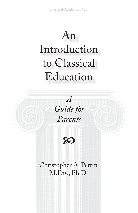## An Introduction to Classical Education





Christopher A. Perrin M.Div., Ph.D.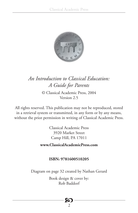

#### *An Introduction to Classical Education: A Guide for Parents*

© Classical Academic Press, 2004 Version 2.5

All rights reserved. This publication may not be reproduced, stored in a retrieval system or transmitted, in any form or by any means, without the prior permission in writing of Classical Academic Press.

> Classical Academic Press 3920 Market Street Camp Hill, PA 17011

**www.ClassicalAcademicPress.com**

#### **ISBN: 9781600510205**

Diagram on page 32 created by Nathan Gerard

Book design & cover by: Rob Baddorf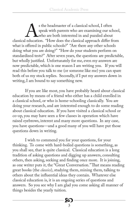s the headmaster of a classical school, I often<br>speak with parents who are examining our school,<br>who are both interested in and puzzled about<br>classical education. "How does the classical approach differ from speak with parents who are examining our school, who are both interested in and puzzled about what is offered in public schools?" "Are there any other schools doing what you are doing?" "How do your students perform on standardized tests?" After seven years, the questions are predictable, but wholly justified. Unfortunately for me, even my answers are now predictable, which is one reason I am writing you. If you will read this before you talk to me (or someone like me) you can spare both of us my stock replies. Secondly, if I put my answers down in writing, I am bound to say something new.

If you are like most, you have probably heard about classical education by means of a friend who either has a child enrolled in a classical school, or who is home-schooling classically. You are doing your research, and are interested enough to do some reading about classical education. If you have visited a classical school or co-op, you may have seen a few classes in operation which have raised eyebrows, interest and many more questions. In any case, you have questions—and a good many of you will have put those questions down in writing.

I wish to commend you for your questions, for your thinking. To come with hard-boiled questions is something, as you shall see, that is quite classical. Classical education is a long tradition of asking questions and digging up answers, consulting others, then asking, seeking and finding once more. It is joining, as one writer puts it, the "Great Conversation." That means reading great books (the *classics*), studying them, mining them, talking to others about the influential ideas they contain. Whatever else classical education is, it is an ongoing series of questions and answers. So you see why I am glad you come asking all manner of things besides the yearly tuition.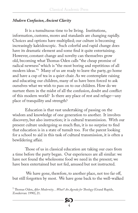#### *Modern Confusion, Ancient Clarity*

It is a tumultuous time to be living. Institutions, information, customs, mores and standards are changing rapidly. Choices and options have multiplied; our culture is becoming increasingly kaleidoscopic. Such colorful and rapid change does have its dramatic element and some find it quite entertaining. However, constant change and novelty can themselves grow old, becoming what Thomas Oden calls "the cheap promise of radical newness" which is "the most boring and repetitious of all modern ideas."1 Many of us are ready to leave the party, go home and have a cup of tea in a quiet chair. As we contemplate raising and educating our children, many of us have been forced to ask ourselves what we wish to pass on to our children. How do we nurture them in the midst of all the confusion, doubt and conflict of this modern world? Is there any place of rest and refuge—any place of tranquility and strength?

Education is that vast undertaking of passing on the wisdom and knowledge of one generation to another. It involves discovery, but also instruction; it is cultural transmission. With our present culture undergoing so much flux, it is no surprise to find that education is in a state of tumult too. For the parent looking for a school to aid in this task of cultural transmission, it is often a bewildering affair.

Those of us in classical education are taking our cues from a time before the party began. Our experiences are all similar: we have not found the wholesome food we need in the present; we have been entertained but not fed, amused but not instructed.

We have gone, therefore, to another place, not too far off, but still forgotten by most. We have gone back to the well-walked

<sup>1</sup>Thomas Oden, *After Modernity…What? An Agenda for Theology* (Grand Rapids, Zondervan: 1990), 21.

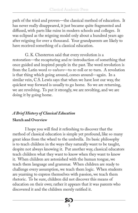path of the tried and proven—the classical method of education. It has never really disappeared, it just became quite fragmented and diffused, with parts like ruins in modern schools and colleges. It was eclipsed as the reigning model only about a hundred years ago after reigning for over a thousand. Your grandparents are likely to have received something of a classical education.

G. K. Chesterton said that every revolution is a restoration—the recapturing and re-introduction of something that once guided and inspired people in the past. The word revolution is from the Latin word *re-volvere*—to re-roll or re-turn. A revolution is that thing which going around, comes around—again. In a similar vein, C.S. Lewis says that when we have lost our way, the quickest way forward is usually to go home. So we are returning, we are revolving. To put it strongly, we are revolting, and we are doing it by going home.

#### *A Brief History of Classical Education*

#### **Sketch and Overview**

I hope you will find it refreshing to discover that the method of classical education is simple yet profound, like so many great ideas from the wheel to the umbrella. Its basic philosophy is to teach children in the ways they naturally want to be taught, despite not always knowing it. Put another way, classical educators teach children what they want to know when they want to know it. When children are astonished with the human tongue, we teach them language and grammar. When children are ready to challenge every assumption, we teach them logic. When students are yearning to express themselves with passion, we teach them rhetoric. To be sure, children did not discover this means of education on their own; rather it appears that it was parents who discovered it and the children merely ratified it.

86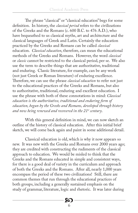The phrase "classical" or "classical education" begs for some definition. In history, the *classical period* refers to the civilizations of the Greeks and the Romans (c. 600 B.C. to 476 A.D.), who have bequeathed to us classical myths, art and architecture and the classical languages of Greek and Latin. Certainly the education practiced by the Greeks and Romans can be called *classical* education. *Classical education*, therefore, can mean the educational methods of the Greeks and Romans. However, the word *classical* or *classic* cannot be restricted to the classical period, per se. We also use the term to describe things that are authoritative, traditional and enduring. Classic literature, for example, can be any work (not just Greek or Roman literature) of enduring excellence. Therefore, we can use the phrase *classical education* to refer not just to the educational practices of the Greeks and Romans, but also to authoritative, traditional, enduring and excellent education. I use the phrase with both of these connotations in mind: *Classical education is the authoritative, traditional and enduring form of education, begun by the Greeks and Romans, developed through history and now being renewed and recovered in the 21st century*.

With this general definition in mind, we can now sketch an outline of the history of classical education. After this initial brief sketch, we will come back again and paint in some additional detail.

Classical education is old, which is why it now appears so new. It was new with the Greeks and Romans over 2000 years ago; they are credited with constructing the rudiments of the classical approach to education. We would be misled to think that the Greeks and the Romans educated in simple and consistent ways, for there is a good deal of variety in the curriculum and approach of both the Greeks and the Romans. After all, nearly 1,000 years encompass the period of these two civilizations! Still, there are common themes that run through the educational practices of both groups, including a generally sustained emphasis on the study of grammar, literature, logic and rhetoric. It was later during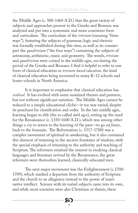the Middle Ages (c. 500-1460 A.D.) that the great variety of subjects and approaches present in the Greeks and Romans was analyzed and put into a systematic and more consistent form and curriculum. The curriculum of the *trivium* (meaning "three ways")*,* featuring the subjects of grammar, logic and rhetoric was formally established during this time, as well as its counterpart the *quadrivium* ("the four ways") containing the subjects of astronomy, arithmetic, music and geometry. The words, *trivium*  and *quadrivium* were coined in the middle ages, *not* during the period of the Greeks and Romans. I find it helpful to refer to one form of classical education as *trivium-based education,* the kind of classical education being recovered in many K-12 schools and home-schools in North America.

It is important to emphasize that classical education has *evolved.* It has evolved with some sustained themes and patterns, but not without significant variation. The Middle Ages cannot be reduced to a simple educational cliché—it too was varied, despite its penchant for classification and order. In the late middle ages, learning began to ebb (the so called *dark ages*), setting up the need for the Renaissance (c. 1350-1600 A.D.), which was among other things a cry to return to the learning of the past—to go *ad fontes*, back to the fountain. The Reformation (c. 1517-1700) was a complex movement of spiritual re-awakening, but it also contained this element of returning to the ancient fountains of wisdom, with the special emphasis of returning to the authority and teaching of Scripture. The reformers retained the interest in studying classical languages and literature revived by the Renaissance; the great reformers were themselves learned, classically-educated men.

The next major movement was the Enlightenment (c.1700-1789), which marked a departure from the authority of Scripture and the church to an allegiance instead to the power of man's native intellect. Science with its varied subjects came into its own, and while most scientists were also Christians or theists, there

**20**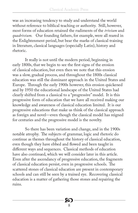was an increasing tendency to study and understand the world without reference to biblical teaching or authority. Still, however, most forms of education retained the rudiments of the *trivium* and *quadrivium.* Our founding fathers, for example, were all reared in the Enlightenment period, but bear the marks of classical training in literature, classical languages (especially Latin), history and rhetoric.

It really is not until the modern period, beginning in early 1800s, that we begin to see the first signs of the erosion of classical education, but even then we note that this erosion was a slow, gradual process, and throughout the 1800s classical education was still the dominant approach in the United States and Europe. Through the early 1900s however, this erosion quickened and by 1950 the educational landscape of the United States had clearly shifted from a classical to a "progressive" model. It is this progressive form of education that we have all received making our knowledge and awareness of classical education limited. It is our progressive educations that make us think of the classical approach as foreign and novel—even though the classical model has reigned for centuries and the progressive model is the novelty.

So there has been variation and change, and in the 1900s notable atrophy. The subjects of grammar, logic and rhetoric do continue as themes throughout the history of classical education, even though they have ebbed and flowed and been taught in different ways and sequences. Classical methods of education have also continued, which we will consider later in this article. Even after the ascendancy of progressive education, the fragments of classical education persist, even in progressive schools. The scattered stones of classical education are present in contemporary schools and can still be seen by a trained eye. Recovering classical education is a matter of gathering those stones and repairing the ruins.

86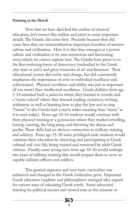#### **Painting in the Sketch**

Now that we have sketched the outline of classical education, let's retrace this outline and paint in some important details. The Greeks did come first. Precisely because they did come first, they are immortalized as important founders of western culture and civilization. How it is that they emerged as a potent culture and civilization is its own mysterious and fascinating story, which we cannot explore here. The Greeks have given to us the first enduring forms of democracy (embodied in the Greek city-state or *polis*) and great treasuries of art and literature. Their educational system did evolve and change, but did consistently emphasize the importance of *arête* or individual excellence and achievement. Physical excellence and ability was just as important (if not more) than intellectual excellence. Greek children from age 7-14 attended both a *palaestra* where they learned to wrestle and a "music school" where they learned reading, recitation, writing, arithmetic as well as learning how to play the lyre and to sing ("music" to the Greeks had a much wider meaning than "music" as it is used today). From age 10-14 students would continue with their physical training at a *gymnasium* where they studied wrestling, boxing, running, the long jump, and throwing the discus and javelin. These skills had an obvious connection to military training and soldiery. From age 15-18 some privileged male students would continue their education by observing and participating in Greek cultural and civic life, being trained and mentored by adult Greek citizens. Finally, some young men from age 18-20 would undergo two years of military training that would prepare them to serve as capable military officers and soldiers.

This general sequence and very basic curriculum was enhanced and changed as the Greek civilization grew. Important Greek educators (sophists and philosophers) emerged who argued for various ways of educating Greek youth. Some advocated training for political success and viewed man as the measure or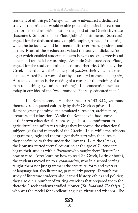standard of all things (Protagoras); some advocated a dedicated study of rhetoric that would enable practical political success not just for personal ambition but for the good of the Greek city-state (Isocrates). Still others like Plato (following his mentor Socrates) argued for the dedicated study of philosophy (instead of rhetoric) which he believed would lead men to discover truth, goodness and justice. Most of these educators valued the study of dialectic (or logic) which enabled students to learn how to reason correctly and detect and refute false reasoning. Aristotle (who succeeded Plato) argued for the study of both dialectic and rhetoric. Ultimately the Greeks passed down their concept of *paideia,* their view that man is to be crafted like a work of art by a standard of excellence (*arête*). As such, education is the making of a man, not the training of a man to do things (vocational training). This conception persists today in our idea of the "well-rounded, liberally-educated man."

The Romans conquered the Greeks (in 143 B.C.) yet found themselves conquered culturally by their Greek captives. The Romans greatly admired and emulated Greek art, architecture, literature and education. While the Romans did have some of their own educational emphases (such as a commitment to agricultural and military training) they imported the educational subjects, goals and methods of the Greeks. Thus, while the subjects of grammar, logic and rhetoric got their start with the Greeks, they continued to thrive under the Romans. Like the Greeks, the Romans started formal education at the age of 7. Students began their studies with a *litterator* who taught them "letters" or how to read. After learning how to read (in Greek, Latin or both), the students moved up to a *grammaticus*, who in a school setting taught them not just grammar (the structure, form and syntax) of language but also literature, particularly poetry. Through the study of literature students also learned history, ethics and politics; they also did a number of writing exercises that prepared them for rhetoric. Greek students studied Homer (*The Iliad* and *The Odyssey*) who was the model for excellent language, virtue and wisdom. The

> 8Q 10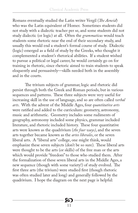Romans eventually studied the Latin writer Vergil (*The Aeneid*) who was the Latin equivalent of Homer. Sometimes students did not study with a dialectic teacher per se, and some students did not study dialectic (or logic) at all. Often the *grammaticus* would teach students some rhetoric near the end of their secondary study, and usually this would end a student's formal course of study. Dialectic (logic) emerged as a field of study by the Greeks, who thought it complemented a student's rhetorical abilities. If a student wished to pursue a political or legal career, he would certainly go on for training in rhetoric, since rhetoric aimed to train students to speak eloquently and persuasively—skills needed both in the assembly and in the courts.

The trivium subjects of grammar, logic and rhetoric did persist through both the Greek and Roman periods, but in various sequences and patterns. These three subjects were very useful for increasing skill in the use of language, and so are often called *verbal arts*. With the advent of the Middle Ages, four *quantitative arts* were ratified and added to the curriculum: geometry, astronomy, music and arithmetic. Geometry includes some rudiments of geography, astronomy included some physics, grammar included literature, and rhetoric included history. These four quantitative arts were known as the quadrivium (*the four ways)*, and the seven arts together became known as the *artes liberales*, or the seven liberal arts. A "liberal arts" college, one might think, would emphasize these seven subjects (don't be so sure). These liberal arts were thought to be the arts (or skills) of the free man or the arts which would provide "freedom" to those who studied them. After the formalization of these seven liberal arts in the Middle Ages, a new sequence (though with some variety!) of study evolved. The first three arts (the trivium) were studied first (though rhetoric was often studied later and long) and generally followed by the quadrivium. I hope the diagram on the next page is helpful: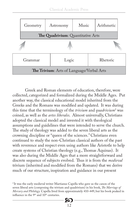|                                                  | Geometry                          | Astronomy | Music | Arithmetic |  |
|--------------------------------------------------|-----------------------------------|-----------|-------|------------|--|
|                                                  | The Quadrivium: Quantitative Arts |           |       |            |  |
|                                                  |                                   |           |       |            |  |
|                                                  | Grammar                           |           | Logic |            |  |
| <b>The Trivium:</b> Arts of Language/Verbal Arts |                                   |           |       |            |  |

Greek and Roman elements of education, therefore, were collected, categorized and formalized during the Middle Ages. Put another way, the classical educational model inherited from the Greeks and the Romans was modified and updated. It was during this time that the terminology of the *trivium* and *quadrivium*<sup>2</sup> was coined, as well as the *artes liberales*. Almost universally, Christians adopted the classical model and invested it with theological assumptions and guidelines that were intended to serve the church. The study of theology was added to the seven liberal arts as the crowning discipline or "queen of the sciences." Christians even continued to study the non-Christian classical authors of the past with reverence and respect even using authors like Aristotle to help create systems of Christian theology (e.g., Thomas Aquinas). It was also during the Middle Ages that a more straightforward and discrete sequence of subjects evolved. Thus it is from the *medieval* trivium (inherited and modified from the Romans) that we derive much of our structure, inspiration and guidance in our present

<sup>&</sup>lt;sup>2</sup> It was the early medieval writer Martianus Capella who gave us the canon of the seven liberal arts (composing the trivium and quadrivium) in his book, *The Marriage of Mercury and Philology.* Capella lived from approximately 410-449, but his book peaked in influence in the 9<sup>th</sup> and 10<sup>th</sup> centuries.

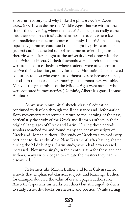efforts at recovery (and why I like the phrase *trivium-based education*). It was during the Middle Ages that we witness the rise of the university, where the quadrivium subjects really came into their own in an institutional atmosphere, and where law and medicine first became courses of study. The trivium subjects, especially grammar, continued to be taught by private teachers (tutors) and in cathedral schools and monasteries. Logic and rhetoric were often taught at the university level along with the quadrivium subjects. Cathedral schools were church schools that were attached to cathedrals where students were often sent to receive their education, usually for a fee. Monastic schools offered education to boys who committed themselves to become monks, but also to the poor of a community as the monastery was able. Many of the great minds of the Middle Ages were monks who were educated in monasteries (Dominic, Albert Magnus, Thomas Aquinas).

As we saw in our initial sketch, classical education continued to develop through the Renaissance and Reformation. Both movements represented a return to the learning of the past, particularly the study of the Greek and Roman authors in their original languages of Greek and Latin. During these periods scholars searched for and found many ancient manuscripts of Greek and Roman authors. The study of Greek was revived (very pertinent to the study of the New Testament) after having abated during the Middle Ages. Latin study, which had never ceased, increased. Not surprisingly, in their enthusiasm for these ancient authors, many writers began to imitate the masters they had rediscovered.

Reformers like Martin Luther and John Calvin started schools that emphasized classical subjects and learning. Luther, for example, doubted the value of certain pagan authors like Aristotle (especially his works on ethics) but still urged students to study Aristotle's books on rhetoric and poetics. While stating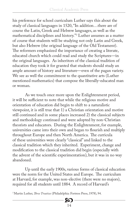his preference for school curriculum Luther says this about the study of classical languages in 1520, "In addition…there are of course the Latin, Greek and Hebrew languages, as well as the mathematical disciplines and history."3 Luther assumes as a matter of course that students will be studying not only Latin and Greek, but also Hebrew (the original language of the Old Testament). The reformers emphasized the importance of creating a literate, educated church which could read and study the Scriptures—in the original languages. As inheritors of the classical tradition of education they took it for granted that students should study an ample amount of history and literature—even of the pagan variety. We see as well the commitment to the quantitative arts (Luther mentioned mathematics) that compose the liberally-educated man or woman.

As we touch once more upon the Enlightenment period, it will be sufficient to note that while the religious motive and orientation of education did begin to shift to a naturalistic viewpoint, it is still true that 1) a Christian orientation and motive still continued and in some places increased 2) the classical subjects and methodology continued and were adopted by non-Christian theorists and educators. During the Enlightenment, for example, universities came into their own and began to flourish and multiply throughout Europe and then North America. The curricula of these universities were clearly "classical" and linked to the classical tradition which they inherited. Experiment, change and modification to the classical tradition did begin (especially with the advent of the scientific experimentation), but it was in no way abandoned.

Up until the early 1900s, various forms of classical education were the norm for the United States and Europe. The curriculum at Harvard, for example, was non-elective (there were no majors), required for all students until 1884. A record of Harvard's

3 Martin Luther, *Three Treatises* (Philadelphia: Fortress Press, 1978), 94.

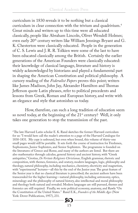curriculum in 1830 reveals it to be nothing but a classical curriculum in clear connection with the trivium and quadrivium.4 Great minds and writers up to this time were all educated classically, people like Abraham Lincoln, Oliver Wendell Holmes; even early 20<sup>th</sup> century writers like William Jennings Bryant and G. K. Chesterton were classically educated. People in the generation of C. S. Lewis and J. R. R. Tolkien were some of the last to have been educated classically among the British. Certainly the earlier generations of the American Founders were classically educated: their knowledge of classical language, literature and history is widely acknowledged by historians and played a fundamental part in shaping the American Constitution and political philosophy. A cursory reading of the *Federalist Papers* proves this point; writers like James Madison, John Jay, Alexander Hamilton and Thomas Jefferson quote Latin phrases, refer to political precedents and lessons from Greek, Roman and European history, and write with an elegance and style that astonishes us today.

How, therefore, can such a long tradition of education seem so novel today, at the beginning of the 21<sup>st</sup> century? Well, it only takes one generation to stop the transmission of the past.

<sup>4</sup>The late Harvard Latin scholar E. K. Rand sketches the former Harvard curriculum for us: "I would here call the reader's attention to a page of the Harvard Catalogue for 1830-1831. My copy is unbound, but even when bound, this volume of thirty-one small pages would still be portable. It sets forth the course of instruction for Freshmen, Sophomores, Junior Sophisters, and Senior Sophisters. The programme is founded on the literatures of Greece and Rome, and many of the authors are listed. But there are also mathematics through calculus, general history and ancient history, with "Greek antiquities," Grotius, *De Veritate Religionis Christianae,* English grammar, rhetoric and composition, with themes, forensics, and oratory, modern languages, logic, philosophy and theology, natural philosophy, including mechanics, chemistry, electricity and magnetism, with "experimental" lectures—all this by the end of the Junior year. The great feature of the Senior year is that no classical literature is prescribed; the ancient authors have been transcended for the higher learning—natural philosophy, including astronomy, optics, mineralogy and the philosophy of natural history, also intellectual and moral philosophy and theology both natural and revealed. Modern languages are still pursued, themes and forensics are still required. Finally, we note political economy, anatomy, and Rawle "On the Constitution of the United States." Rand E.K., *Founders of the Middle Ages* (New York: Dover Publications, 1957), 231.

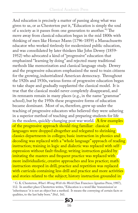And education is precisely a matter of passing along what was given to us, or as Chesterton put it, "Education is simply the soul of a society as it passes from one generation to another."5 The move away from classical education began in the mid 1800s with thinking of men like Horace Mann (1796-1859) a Massachusetts educator who worked tirelessly for modernized public education, and was consolidated by later thinkers like John Dewey (1859- 1952) who advocated a kind of "progressive" education that emphasized "learning by doing" and rejected many traditional methods like memorization and classical language study. Dewey and the progressive educators emphasized the need to train citizens for the growing, industrialized American democracy. Throughout the 1920s and 1930s, various forms of progressive education began to take shape and gradually supplanted the classical model. It is true that the classical model never completely disappeared, and its remnants remain in many places (e.g., in the name "grammar" school), but by the 1950s these progressive forms of education became dominant. Most of us, therefore, grew up under the teaching of progressive educators who believed they were ushering in a superior method of teaching and preparing students for life in the modern, quickly-changing post war world.  $\overline{A}$  few examples of the progressive approach should ring familiar: classical languages were dropped altogether and relegated to shrinking classics departments in colleges; basic instruction in phonics and decoding was replaced with a "whole language" approach of reading instruction; training in logic and dialectic was replaced with selfexpression without fault-finding; writing instruction guided by imitating the masters and frequent practice was replaced with more individualistic, creative approaches and less practice; math instruction steeped in drill, practice and repetition was replaced with curricula containing less drill and practice and more activities and stories related to the subject; history instruction grounded in

5 G. K. Chesterton, *What's Wrong With the World* (San Francisco: Ignatius Press, 1987), 112. In another place Chesterton writes, "Education is a word like 'transmission' or 'inheritance:' it is not an object but a method. It means the conveying of certain facts or qualities, to the last baby born." *Ibid.,* 161.

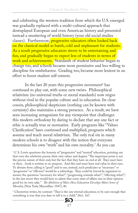and celebrating the western tradition from which the U.S. emerged was gradually replaced with a multi-cultural approach that downplayed European and even American history and presented instead a smattering of world history (your old social studies classes). Furthermore, progressive educators often looked back on the classical model as harsh, cold and unpleasant for students. As a result progressive educators strove to be entertaining and fun, and gradually began to expect less of students in terms of work and achievements. Standards of student behavior began to change too, and schools became more permissive and less willing to discipline for misbehavior. Grading too, became more lenient in an effort to boost student self-esteem.

In the last 20 years this progressive movement6 has continued to play out, with some new twists. Philosophical relativism (no universal truths or moral standards) now reigns without rival in the popular culture and in education. Its close cousin, philosophical skepticism (nothing can be known with certainty) also maintains a strong presence. As a result, we have seen increasing antagonism for any viewpoint that challenges this modern orthodoxy by daring to declare that any one fact or ethic is actually true or normative. Early programs like "Values Clarification" have continued and multiplied, programs which assume and teach moral relativism. The only real sin in many modern schools is to disagree with the notion that everyone determines his own "truth" and his own morality.7 As you can

6 C.S. Lewis questions the honesty of "progressive" and "neutral" education, pointing out that even the relativists pursue their own values and dogma: "The important point is not the precise nature of their end, but the fact that they have an end at all. They must have or their…book is written to no purpose. And this end must have real value in their eyes. To abstain from calling it "good" and to use, instead, such predicates as "necessary" or "progressive" or "efficient" would be a subterfuge. They could be forced by argument to answer the questions "necessary for what?", "progressing towards what?", "effecting what?"; in the last resort they would have to admit that some state of affairs was in their opinion good for its own sake." *The Abolition of Man: How Education Develops Man's Sense of Morality* (New York, Macmillan: 1947), 40.

 $\sigma$  Chesterton writes, by contrast: "That is the one eternal education; to be sure enough that something is true that you dare to tell it to a child." *Ibid.,* 167.

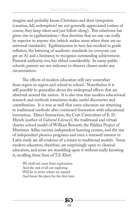imagine and probably know, Christians and their viewpoints (creation, fall, redemption) are not generally appreciated (unless of course, they keep silent and just follow along). This relativism has given rise to egalitarianism—that doctrine that no one can really be superior to anyone else (which makes sense when there are no universal standards). Egalitarianism in turn has resulted in grade inflation, the lowering of academic standards (so everyone can get an A) and a hesitancy to recognize outstanding achievement. Parental authority, too, has ebbed considerably. In many public schools, parents are not welcome to observe classes under any circumstances.

The effects of modern education will vary somewhat from region to region and school to school. Nonetheless it is still possible to generalize about the widespread effects that are observed around the nation. It is also true that modern educational research and methods sometimes make useful discoveries and contributions. It is true as well that some educators are returning to traditional methods after continued frustration with educational innovation. Direct Instruction, the Core Curriculum of E. D. Hirsch (author of *Cultural Literacy*); the traditional and virtual charter school model of William Bennett; the Paideia Project of Mortimer Adler, various independent learning centers, and the rise of independent phonics programs and even a renewed interest in Latin study are all evidence of a return to traditional models. Some modern educators, therefore, are surprisingly open to classical education, and some are stumbling upon it without really knowing it, recalling these lines of T.S. Eliot:

Х

18

We shall not cease from exploration And the end of all our exploring Will be to arrive where we started And know the place for the first time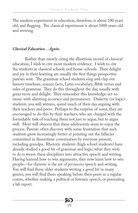The modern experiment in education, therefore, is about 100 years old, and flagging. The classical experiment is about 1000 years old and reviving.

#### *Classical Education…Again.*

Rather than merely citing the illustrious record of classical education, I wish to cite more modern evidence. I wish to cite the students in classical schools and home-schools. Their delight and joy in their learning are usually the first things prospective parents note. The grammar school students sing and clap out history timelines, science facts, Latin vocabulary, Bible verses and rules of grammar. They do this throughout the day, usually with great verve and delight. They remember this knowledge-set-tomusic with alarming accuracy and permanence. Dialectic (or logic) students, you will witness, spend much of their day arguing with their teachers and peers. Perhaps to the surprise of some, they are encouraged to do this by their teachers, who are charged with the formidable task of teaching them not just to argue, but to argue well. Most will observe that these adolescents seem to enjoy the process. Parents often discover with some frustration that such students grow increasingly better at pointing out the fallacies committed in dinnertime conversation by everyone present, including grandpa. Rhetoric students (high school students) have already studied a good bit of grammar and logic; what they wish to do is weave these disciplines into attractive speech and writing. Having learned how to win arguments, they now learn how to win people—for rhetoric is the art of *persuasive* speech and writing. You will find these older students writing a good bit in many genres; you will find them speaking before their peers as a regular course, whether making a political or forensic speech, or presenting a lab report.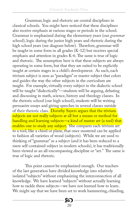Grammar, logic and rhetoric are central disciplines in classical schools. You might have noticed that these disciplines also receive emphasis at various stages or periods in the school. Grammar is emphasized during the elementary years (our *grammar*  school), logic during the junior high years and rhetoric during the high school years (see diagram below). Therefore, grammar will be taught in some form in all grades (K-12) but receives special emphasis and attention in grades K-6. The same is true of logic and rhetoric. The assumption here is that these subjects are always operating in some form, but that they are suited to be explicitly taught at certain stages in a child's development. As such, each trivium subject is seen as "paradigm" or master subject that colors and guides the way the other subjects in the curriculum are taught. For example, virtually every subject in the dialectic school will be taught "dialectically"—students will be arguing, debating and discussing in math, science, history and theology classes. In the rhetoric school (our high school), students will be writing persuasive essays and giving speeches in several classes outside of their rhetoric class. Dorothy Sayers argues that the trivium subjects are not really subjects at all but a means or method for handling and learning subjects—a kind of master art (a tool) that enables one to study any subject. She compares each trivium art to a tool, like a chisel or plane, that once mastered can be applied to fashion all varieties of wood (subjects). While we are used to thinking of "grammar" as a subject (and it has been reduced to a mere self-contained subject in modern schools), it has traditionally been viewed as an all-encompassing discipline or "art." The same is true of logic and rhetoric.

This point cannot be emphasized enough. Our teachers of the last generation have divided knowledge into relatively isolated "subjects" without emphasizing the interconnection of all knowledge. We have learned "subjects" without actually learning how to tackle these subjects—we have not learned how to learn. We might say that we have been set to work hammering, chiseling,

> 8Q 20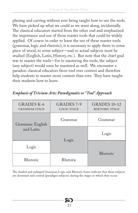planing and carving without ever being taught how to use the tools. We have picked up what we could as we went along, incidentally. The classical educators started from the other end and emphasized the importance and use of those master tools that could be widely applied. Of course in order to learn the use of these master tools (grammar, logic and rhetoric), it is necessary to apply them to some piece of wood, to some subject—and so actual subjects must be studied (English, Latin, History, etc.). But note that the chief goal was to master the tools—for in mastering the tools, the subject (any subject) would soon be mastered as well. We encounter a paradox: classical educators favor tool over content and therefore help students to master more content than ever. They have taught their students how to learn.

| <b>GRADES K-6</b><br><b>GRAMMAR STAGE</b> | GRADES 7-9<br><b>LOGIC STAGE</b> | <b>GRADES 10-12</b><br>RHETORIC STAGE |
|-------------------------------------------|----------------------------------|---------------------------------------|
| Grammar: English                          | Grammar                          | Grammar                               |
| and Latin                                 |                                  | Logic                                 |
| Logic                                     | Logic                            | Rhetoric                              |
| Rhetoric                                  | Rhetoric                         |                                       |

*Emphasis of Trivium Arts: Paradigmatic or "Tool" Approach*

The shaded and enlarged Grammar, Logic and Rhetoric boxes indicate that these subjects are dominant and central (paradigm subjects) during the stages in which they occur.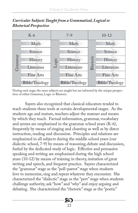



During each stage, the same subjects are taught but are informed by the unique perspectives of either Grammar, Logic or Rhetoric.

Sayers also recognized that classical educators tended to teach students these tools at certain developmental stages. As the students age and mature, teachers adjust the manner and means by which they teach. Factual information, grammar, vocabulary and syntax are emphasized in the grammar school years (K-6), frequently by means of singing and chanting as well as by direct instruction, reading and discussion. Principles and relations are emphasized in all subjects during the middle school years (our dialectic school, 7-9) by means of reasoning, debate and discussion, fueled by the dedicated study of logic. Effective and persuasive speaking and writing are emphasized during the high school years (10-12) by means of training in theory, imitation of great writing and speech, and frequent practice. Sayers characterized the "grammar" stage as the "poll-parrot" stage when students love to memorize, sing and repeat whatever they encounter. She characterized the "dialectic" stage as the "pert" stage when students challenge authority, ask "how" and "why" and enjoy arguing and debating. She characterized the "rhetoric" stage as the "poetic"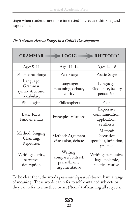stage when students are more interested in creative thinking and expression.

| <b>GRAMMAR</b>                                            | LOGIC                                                           | <b>RHETORIC</b>                                             |
|-----------------------------------------------------------|-----------------------------------------------------------------|-------------------------------------------------------------|
| Age: 5-11                                                 | Age: 11-14                                                      | Age: 14-18                                                  |
| Poll-parrot Stage                                         | Pert Stage                                                      | Poetic Stage                                                |
| Language:<br>Grammar,<br>syntax, structure,<br>vocabulary | Language:<br>reasoning, debate,<br>clarity                      |                                                             |
| Philologists                                              | Philosophers                                                    | Poets                                                       |
| Basic Facts,<br>Fundamentals                              | Principles, relations                                           | Expressive<br>communication,<br>application;<br>synthesis   |
| Method: Singing,<br>Chanting,<br>Repetition               | Method: Argument,<br>discussion, debate                         | Method:<br>Discussion,<br>speeches, imitation,<br>practice  |
| Writing: clarity,<br>narrative,<br>description            | Writing:<br>compare/contrast;<br>praise/blame,<br>argumentative | Writing: persuasive,<br>legal, polemic,<br>poetic, creative |

*The Trivium Arts as Stages in a Child's Development*

To be clear then, the words *grammar, logic and rhetoric* have a range of meaning. These words can refer to self-contained subjects or they can refer to a method or art ("tools") of learning all subjects.

**SO**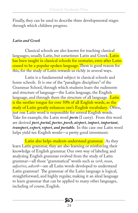Finally, they can be used to describe three developmental stages through which children progress.

#### *Latin and Greek*

Classical schools are also known for teaching classical languages, usually Latin, but sometimes Latin and Greek. Latin has been taught in classical schools for centuries, even after Latin ceased to be a popular spoken language. There is good reason for this, for the study of Latin rewards us richly in several ways.

Latin is a fundamental subject in classical schools and home schools. It is one of the "paradigm disciplines" of the Grammar School, through which students learn the rudiments and structure of language—the Latin language, the English language, and through them the structure of all language. Latin is the mother tongue for over 50% of all English words, so the study of Latin greatly enhances one's English vocabulary. Often, just one Latin word is responsible for several English words. Take for example, the Latin word *porto* (I carry). From this word are derived *port, portal, porter, porch, airport, import, important, transport, export, report, and portable.* In this case one Latin word helps yield ten English words—a pretty good investment.

Latin also helps students understand grammar. As they learn Latin grammar, they are also learning or reinforcing their knowledge of English grammar. Our own way of labeling and analyzing English grammar evolved from the study of Latin grammar—all those "grammatical" words such as *verb*, *noun*, *adjective*, *adverb*—are all Latin words developed to understand Latin grammar! The grammar of the Latin language is logical, straightforward, and highly regular, making it an ideal language to learn grammar that can be applied to many other languages, including of course, English.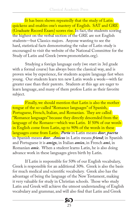It has been shown repeatedly that the study of Latin quickens and enables one's mastery of English. SAT and GRE (Graduate Record Exam) scores rise.In fact, the students scoring the highest on the verbal section of the GRE are not English students—but Classics majors. Anyone wanting to see the hard, statistical facts demonstrating the value of Latin study is encouraged to visit the website of the National Committee for the Study of Latin and Greek (www.promotelatin.org).

Studying a foreign language early (we start in 3rd grade with a formal course) has always been the classical way, and is proven wise by experience, for students acquire language fast when young. Our students learn ten new Latin words a week—with far greater ease than their parents. Students at this age are eager to learn language, and many of them profess Latin as their favorite subject.

Finally, we should mention that Latin is also the mother tongue of the so-called "Romance languages" of Spanish, Portuguese, French, Italian, and Romanian. They are called "Romance languages" because they directly descended from the language of the Romans—which was Latin. If 50% of our words in English come from Latin, up to 90% of the words in these languages come from Latin. *Porta* in Latin means *door*; *puerta* in Spanish means *door*. *Amicus* in Latin means *friend*; in Spanish and Portuguese it is *amigo*, in Italian *amico*, in French *ami*, in Romanian *amic*. When a student learns Latin, he is also doing advance work in these languages given birth by Latin.

If Latin is responsible for 50% of our English vocabulary, Greek is responsible for an additional 30%. Greek is also the basis for much medical and scientific vocabulary. Greek also has the advantage of being the language of the New Testament, making it very valuable for study in Christian schools. Those who study Latin and Greek will achieve the utmost understanding of English vocabulary and grammar, and will also find that Latin and Greek

> 8Q 25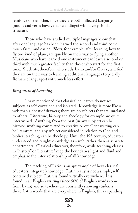reinforce one another, since they are both inflected languages (nouns and verbs have variable endings) with a very similar structure.

Those who have studied multiple languages know that after one language has been learned the second and third come much faster and easier. Pilots, for example, after learning how to fly one kind of plane, are quickly on their way to flying another. Musicians who have learned one instrument can learn a second or third with much greater facility than those who start for the first time. Students, therefore, who study Latin and/or Greek, will find they are on their way to learning additional languages (especially Romance languages) with much less effort.

#### *Integration of Learning*

I have mentioned that classical educators do not see subjects as self-contained and isolated. Knowledge is more like a web than a chest of drawers; there are no subjects that are unrelated to others. Literature, history and theology for example are quite intertwined. Anything from the past (in any subject) can be history; anything committed to creative or excellent writing can be literature; and any subject considered in relation to God and biblical teaching can be theology. Until the  $19<sup>th</sup>$  century, educators understood and taught knowledge as a web, rather than as separate departments. Classical educators, therefore, while teaching classes in "history" or "literature" keep the boundaries light and fluid and emphasize the inter-relationship of all knowledge.

The teaching of Latin is an apt example of how classical educators integrate knowledge. Latin really is not a simple, selfcontained subject. Latin is found virtually everywhere. It is found in all English writing (since 50% of English words come from Latin) and so teachers are constantly showing students those Latin words that are everywhere in English, thus expanding

> 8Q 26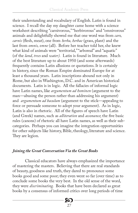their understanding and vocabulary of English. Latin is found in science. I recall the day my daughter came home with a science worksheet describing "carnivorous," "herbivorous" and "omnivorous" animals and delightfully showed me that one word was from *caro, carnis* (flesh, meat), one from *herba, herbae* (grass, plant) and the last from *omnis, omne* (all). Before her teacher told her, she knew what kind of animals were "territorial," "arboreal" and "aquatic" (of the *land, trees* and *water).* Latin is found in literature. Much of the best literature up to about 1950 (and some afterwards) frequently contains Latin allusions or quotations. It is certainly in history, since the Roman Empire dominated Europe for at least a thousand years. Latin inscriptions abound not only in Rome, but also in Washington, D.C. and in American historical documents. Latin is in logic. All the fallacies of informal logic have Latin names, like *argumentum ad hominen* (argument to the man—abusing the person rather than addressing his argument) and *argumentum ad baculum* (argument to the stick—appealing to force or persuade someone to adopt your argument). As in logic, Latin is also in rhetoric. All of the figures of speech have Latin (and Greek) names, such as *alliteration* and *assonance*; the five basic rules (canons) of rhetoric all have Latin names, as well as their subcategories. Perhaps you can imagine the integration opportunities for other subjects like history, Bible, theology, literature and science. They are legion.

#### *Joining the Great Conversation Via the Great Books*

Classical educators have always emphasized the importance of mastering the masters. Believing that there are real standards of beauty, goodness and truth, they dared to pronounce some books good and some poor; they even went so far (over time) as to conclude some books the very best. In the old sense of the word, they were *discriminating.* Books that have been declared as great books by a consensus of informed critics over long periods of time

> **XO** 27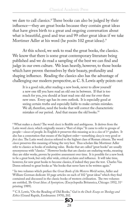we dare to call classics.<sup>8</sup> These books can also be judged by their influence—they are great books because they contain great ideas that have given birth to a great and ongoing conversation about what is beautiful, good and true and 99 other great ideas if we take Mortimer Adler at his word (he posits 102 great ideas).<sup>9</sup>

At this school, we seek to read the great books, the classics. We know that there is some great contemporary literature being published and we do read a sampling of the best we can find and judge in our own culture. We lean heavily, however, to those books which have proven themselves by their beauty, profundity and shaping influence. Reading the classics also has the advantage of challenging our modern perspective, as C. S. Lewis aptly points out:

It is a good rule, after reading a new book, never to allow yourself a new one till you have read an old one in between. If that is too much for you, you should at least read one old one for ever three new ones. Every age has its own outlook. It is especially good at seeing certain truths and especially liable to make certain mistakes. We all, therefore, need the books that will correct the characteristic mistakes of our period. And that means the old books.<sup>10</sup>

<sup>8</sup> What makes a classic? The word *classic* is flexible and ambiguous. It derives from the Latin word *classis,* which originally meant a "fleet of ships." It came to refer to groups of people—*classes* of people. In English it preserves this meaning as in a *class* of 1st graders. It also has a connotation that means of the highest order—something *classy* is very good or *first class.* The Latin word *classicus* referred to the highest class of Roman citizens. The word *classic* preserves this meaning of being the very best. Thus scholars like Mortimer Adler refer to classics as books of enduring value. Books that are called "great books" are usually synonymous with "classics." However books that are classics are enduring works, meaning they are older works, proven by positive assessment over time. It is possible for a new book to be a great book, but only after wide, critical acclaim and influence. It will take time, however, for new great books to become classics, if indeed they pass the test. Charles Van Doren referred to great books as "the books that never have to be written again."

9 In two volumes which preface the *Great Books of the Western World* series, Adler and William Gorman dedicate 10 page articles on each of 102 "great ideas" which they find contained and discussed in the classic books of western civilization. The two volumes are entitled, *The Great Ideas: A Syntopicon*, (Encyclopedia Britannica, Chicago: 1952, 31<sup>st</sup> printing 1989).

10 C.S. Lewis, "On the Reading of Old Books," *God in the Dock: Essays on Theology and Ethics* (Grand Rapids, Eerdmanns: 1970), 202.

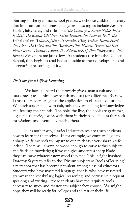Starting in the grammar school grades, we choose children's literary classics, from various times and genres. Examples include Aesop's Fables, fairy tales, and titles like*, The Courage of Sarah Noble, Peter Rabbit, The Boxcar Children, Little Women, The Door in Wall, The Wind and the Willows, Johnny Tremain, King Arthur, Robin Hood, The Lion, The Witch and The Wardrobe, The Hobbit, Where The Red Fern Grows, Treasure Island, The Adventures of Tom Sawyer* and *The Bronze Bow,* to name just a few. As students rise into the Dialectic School, they begin to read books suitable to their development and burgeoning reasoning ability.

#### *The Tools for a Life of Learning*

We have all heard the proverb: give a man a fish and he eats a meal; teach him how to fish and eats for a lifetime. By now I trust the reader can guess the application to classical education. We teach students how to fish, only they are fishing for knowledge and feeding their minds. The pole, the line, the hook are grammar, logic and rhetoric, always with them in their tackle box as they seek for wisdom, and eventually teach others.

Put another way, classical educators seek to teach students how to learn for themselves. If, for example, we compare logic to a sharp knife, we seek to impart to our students a very sharp knife indeed. There will always be wood enough to carve (other subjects and fields of knowledge); if we can give students a sharp blade they can carve whatever new wood they find. This insight inspired Dorothy Sayers to refer to the Trivium subjects as "tools of learning" a metaphor that has become prevalent among classical educators. Students who have mastered language, that is, who have mastered grammar and vocabulary, logical reasoning, and persuasive, eloquent speaking and writing—these students have the requisite tools necessary to study and master any subject they choose. We might hope they will be ready for college and the rest of their life.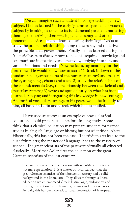We can imagine such a student in college tackling a new subject. He has learned in the early "grammar" years to approach a subject by breaking it down to its fundamental parts and mastering them by memorizing them—using chants, songs and other mnemonic devices. He has learned during their "logic" years to study the ordered relationship among these parts, and to derive the principles that govern them. Finally, he has learned during his "rhetoric" years to discover how to take his acquired knowledge and communicate it effectively and creatively, applying it to new and varied situations and needs. Now he faces, say, anatomy for the first time. He would know how to start: 1) Break it down to the fundamentals (various parts of the human anatomy) and master these, using songs, chants and such 2) study the relationships of these fundamentals (e.g., the relationship between the skeletal and muscular systems) 3) write and speak clearly on what has been learned, applying and integrating this knowledge in new settings. Anatomical vocabulary, strange to his peers, would be friendly to him, all based in Latin and Greek which he has studied.

I have used anatomy as an example of how a classical education should prepare students for life-long study. Some think that a classical education may prepare students for further studies in English, language or history, but not scientific subjects. Historically, this has not been the case. The trivium arts lead to the quadrivium arts; the mastery of language leads to the mastery of science. The great scientists of the past were virtually all educated classically. Mortimer Adler cites the education of the great German scientists of the last century:

The connection of liberal education with scientific creativity is not mere speculation. It is a matter of historical fact that the great German scientists of the nineteenth century had a solid background in the liberal arts. They all went through a liberal education which embraced Greek, Latin, logic, philosophy, and history, in addition to mathematics, physics and other sciences. Actually this has been the educational preparation of European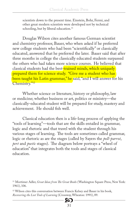scientists down to the present time. Einstein, Bohr, Fermi, and other great modern scientists were developed not by technical schooling, but by liberal education.<sup>11</sup>

Douglas Wilson cites another famous German scientist and chemistry professor, Bauer, who when asked if he preferred new college students who had been "scientifically" or classically educated, answered that he preferred the later. Bauer said that after three months in college the classically educated students surpassed the others who had taken more science courses. He believed that classical students had the best-trained minds, which uniquely prepared them for science study. "Give me a student who has been taught his Latin grammar," he said, "and I will answer for his Chemistry."<sup>12</sup>

Whether science or literature, history or philosophy, law or medicine; whether business or art, politics or ministry—the classically-educated student will be prepared for study, mastery and achievement. He should fish well.

Classical education then is a life-long process of applying the "tools of learning"—tools that are the skills entailed in grammar, logic and rhetoric and that travel with the student through his various stages of learning. The tools are sometimes called grammar, logic or rhetoric as are the stages (called by Sayers the *poll-parrot*, *pert* and *poetic* stages). The diagram below portrays a "wheel of education" that integrates both the tools and stages of classical education.

<sup>&</sup>lt;sup>12</sup> Wilson cites this conversation between Francis Kelsey and Bauer in his book, *Recovering the Lost Tools of Learning* (Crossway, Wheaton: 1991), 89.



<sup>11</sup> Mortimer Adler, *Great Ideas from The Great Books* (Washington Square Press, New York: 1961), 106.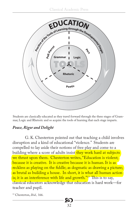

Students are classically educated as they travel forward through the three stages of Grammar, Logic and Rhetoric and so acquire the tools of learning that each stage imparts.

#### *Peace, Rigor and Delight*

G. K. Chesterton pointed out that teaching a child involves disruption and a kind of educational "violence." Students are compelled to lay aside their notions of free play and come to a building where a score of adults insist they work hard at subjects we thrust upon them. Chesterton writes, "Education is violent; because it is creative. It is creative because it is human. It is as reckless as playing on the fiddle; as dogmatic as drawing a picture; as brutal as building a house. In short, it is what all human action is; it is an interference with life and growth."<sup>13</sup> This is to say, classical educators acknowledge that education is hard work—for teacher and pupil.

**20** 

32

13 Chesterton, *Ibid.,* 166.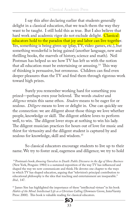I say this after declaring earlier that students generally delight in a classical education, that we teach them the way they want to be taught. I still hold this as true. But I also believe that hard work and academic rigor do not exclude delight. Classical educators hold to the paradox that joy and labor can live together. Yes, something is being given up (play, TV, video games, etc.), but something wonderful is being gained (another language, new and thrilling books, the marvels of history, science and math). Neil Postman has helped us see how TV has left us with the notion that all education must be entertaining or amusing.<sup>14</sup> This way of thinking is persuasive, but erroneous. Children can find even deeper pleasures than the TV and find them through rigorous work toward high prizes.

Surely you remember working hard for something you prized—perhaps even your beloved. The words *student* and *diligence* retain this same ethos. *Studere* means to be eager for or zealous. *Diligere* means to love or delight in. One can quickly see the connection: we are diligent about those things we love whether people, knowledge or skill. The diligent athlete loves to perform well, to win. The diligent lover stops at nothing to win his lady. The diligent musician practices for hours out of love for music and thirst for virtuosity and the diligent student is captured by and zealous for knowledge, skill and wisdom.15

So classical educators encourage students to live up to their name. We try to foster zeal, eagerness and diligence; we try to hold

 14 Postman's book *Amusing Ourselves to Death: Public Discourse in the Age of Show Business* (New York, Penguin: 1984) is a sustained exposition of the way TV has influenced and shaped the way we now communicate and think. He devotes one chapter to the ways in which TV has shaped education, arguing that "television's principal contribution to educational philosophy is the idea that teaching and entertainment are inseparable." *Ibid.,* 147.

<sup>15</sup> James Sire has highlighted the importance of these "intellectual virtues" in his book *Habits of the Mind: Intellectual Life as a Christian Calling* (Downers Grove, InterVarsity Press: 2000).This book is valuable reading for classical educators.

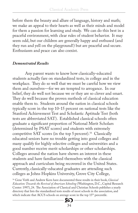before them the beauty and allure of language, history and math; we make an appeal to their hearts as well as their minds and model for them a passion for learning and study. We can do this best in a peaceful environment, with clear rules of student behavior. It may seem odd, but our children are generally happy and enthused (and they run and yell on the playground!) but are peaceful and secure. Enthusiasm and peace can also coexist.

#### *Demonstrated Results*

Any parent wants to know how classically-educated students actually fare on standardized tests, in college and in the workplace. They do so well that we must be careful how we view them and ourselves—for we are tempted to arrogance. In our belief, they do well not because we or they are so clever and smart. They do well because the proven methods of classical education enable them to. Students around the nation in classical schools typically score in the top 10-15 percent on national tests like the Stanford Achievement Test and Scholastic Aptitude Test (both tests are abbreviated SAT). Established classical schools often graduate a significant proportion of National Merit Scholars (determined by PSAT scores) and students with extremely competitive SAT scores (in the top 5 percent).<sup>16</sup> Classically educated seniors have no trouble getting into good colleges and many qualify for highly selective colleges and universities and a good number receive merit scholarships or other scholarships. Colleges around the nation have shown an interest in these students and have familiarized themselves with the classical approach and curriculum being recovered in the United States. Currently, classically-educated graduates are attending such colleges as Johns Hopkins University, Grove City College,

16 Gene Veith and Andrew Kern have documented these results in their book, *Classical Education: Towards the Revival of American Schooling* (Washington, D.C., Capital Research Center: 1997), 24. The Association of Classical and Christian Schools publishes a yearly directory that lists the standardized tests results of most schools in the association, and which indicate that ACCS schools on average score in the top 15<sup>th</sup> percentile.

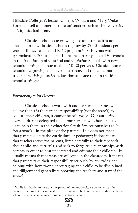Hillsdale College, Wheaton College, William and Mary, Wake Forest as well as numerous state universities such as the University of Virginia, Idaho, etc.

Classical schools are growing at a robust rate; it is not unusual for new classical schools to grow by 25-30 students per year until they reach a full K-12 program in 8-10 years with approximately 200 students. There are currently about 150 schools in the Association of Classical and Christian Schools with new schools starting at a rate of about 10-20 per year. Classical homeschools are growing at an even faster rate, and there are more students receiving classical education at home than in traditional school settings.<sup>17</sup>

#### *Partnership with Parents*

Classical schools work with and for parents. Since we believe that it is the parent's responsibility (not the state's) to educate their children, it cannot be otherwise. Our authority over children is delegated to us from parents who have enlisted us to help them in their educational task. We see ourselves as *in loco parentis*—in the place of the parents. This does not mean that parents dictate the curriculum or pedagogy; it does mean that teachers serve the parents, listen carefully to their feedback about child and curricula, and seek to forge true relationships with parents in order to best understand and educate their children. It usually means that parents are welcome in the classroom; it means that parents take their responsibility seriously by reviewing and helping with homework, encouraging their child to be disciplined and diligent and generally supporting the teachers and staff of the school.

<sup>17</sup> While it is harder to measure the growth of home-schools, we do know that the majority of classical texts and materials are purchased by home-schools, indicating homeschooled students out-number those in traditional schools.

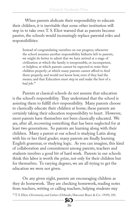When parents abdicate their responsibility to educate their children, it is inevitable that some other institution will step in to take over. T. S. Eliot warned that as parents become passive, the schools would increasingly replace parental roles and responsibilities:

Instead of congratulating ourselves on our progress, whenever the school assumes another responsibility hitherto left to parents, we might do better to admit that we have arrived at a stage of civilization at which the family is irresponsible, or incompetent, or helpless; at which parents cannot be expected to train their children properly; at which many parents cannot afford to feed them properly, and would not know how, even if they had the means; and that Education must step in and make the best of a bad job.18

Parents at classical schools do not assume that education is the school's responsibility. They understand that the school is assisting them to fulfill *their* responsibility. Many parents choose to classically educate their children at home; these parents are certainly taking their education responsibility to heart. However, most parents have themselves not been classically educated. We are, after all, recovering something that has been neglected for at least two generations. So parents are learning along with their children. Many a parent at our school is studying Latin along with his or her third grader; many parents are finally learning English grammar, or studying logic. As you can imagine, this kind of collaboration and commitment among parents, teachers and students involves a good bit of hard work. Parents in our schools think this labor is worth the prize, not only for their children but for themselves. To varying degrees, we are all trying to get the education we were not given.

On any given night, parents are encouraging children as they do homework. They are checking homework, reading notes from teachers, writing or calling teachers, helping students stay

18 T. S. Eliot, *Christianity and Culture* (Orlando, Harcourt Brace & Co.: 1939), 181.

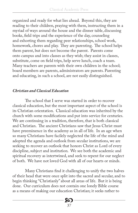organized and ready for what lies ahead. Beyond this, they are reading to their children, praying with them, instructing them in a myriad of ways around the house and the dinner table, discussing books, field trips and the experience of the day, counseling and exhorting them regarding peer relationships, school work, homework, chores and play. They are parenting. The school helps them parent, but does not become the parent. Parents come onto campus and into classes as they wish; they assist in classes, substitute, come on field trips, help serve lunch, coach a team. Many teachers are parents with their own children in the school; board members are parents, administrators are parents. Parenting and educating, in such a school, are not easily distinguished.

#### *Christian and Classical Education*

The school that I serve was started in order to recover classical education, but the most important aspect of the school is its Christian orientation. Classical education was inherited by the church with some modifications and put into service for centuries. We are continuing in a tradition, therefore, that is both classical and Christian. The ancient Christians saw that Jesus Christ must have preeminence in the academy as in all of life. In an age when so many Christians have facilely neglected the life of the mind and adopted the agenda and outlook from secular institutions, we are seeking to recover an outlook that honors Christ as Lord of every discipline, subject and institution. We see both the academic and spiritual recovery as intertwined, and seek to repent for our neglect of both. We have not loved God with all of our hearts or minds.

Many Christians find it challenging to unify the two halves of their head that were once split into the sacred and secular, and to begin thinking "Christianly" about all areas of life. But it is being done. Our curriculum does not contain one lonely Bible course as a means of making our education Christian; it seeks rather to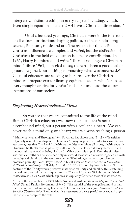integrate Christian teaching in every subject, including…math. Even simple equations like  $2 + 2 = 4$  have a Christian dimension.<sup>19</sup>

Until a hundred years ago, Christians were in the forefront of all cultural institutions shaping politics, business, philosophy, science, literature, music and art. The reasons for the decline of Christian influence are complex and varied, but the abdication of Christians in the field of education is a major contribution. In 1961, Harry Blamires could write, "There is no longer a Christian mind." Since 1961, I am glad to say, there has been a good deal of ground regained, but nothing approaching what was once held.<sup>20</sup> Classical educators are seeking to help recover the Christian mind and prepare extraordinarily-equipped leaders who "can take every thought captive for Christ" and shape and lead the cultural institutions of our society.

#### *Shepherding Hearts/Intellectual Virtue*

So you see that we are committed to the life of the mind. But as Christian educators we know that a student is not a disembodied mind, but a person with a soul and a heart. We can never teach a mind only, or a heart; we are always teaching a person

<sup>19</sup> Mathematician and Theologian Vern Poythress has shown that " $2 + 2 = 4$ " is neither religiously neutral or undisputed. He writes, "It may surprise the reader to learn that not *everyone* agrees that "2 + 2 = 4." If with Parmenides one thinks all is one, if with Vedantic Hinduism he thinks that all plurality is illusion, " $2 + 2 = 4$ " is an illusory statement. On the most ultimate level of being,  $1 + 1 = 1$ . What does this imply? Even the simplest arithmetical truths can be sustained only in a world-view which acknowledges an ultimate metaphysical plurality in the world—whether Trinitarian, polytheistic, or chanceproduced plurality." Vern Poythress, "A Biblical View of Mathematics," in *Foundations of Christian Scholarship* (Philadelphia, P & R: 1975), 86. For Poythress it is the Christian doctrine of the Trinity which preserves mathematical unity and plurality, thus sustaining the real unity and plurality in equations like " $2 + 2 = 4$ ." James Nickels has published *Mathematics: Is God Silent*, which explores an explicitly Christian view of mathematics.

<sup>20</sup> Thirty-three years later in 1994 Mark Noll could write in *The Scandal of the Evangelical Mind*, (Grand Rapids, Eerdmans: 1994), 3, "The scandal of the evangelical mind is that there is not much of an evangelical mind." He quotes Blamires (*The Christian Mind: How Should a Christian Think?)* and makes his assessment of a very partial recovery, and urges Christians to complete the task.

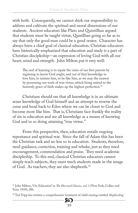with both. Consequently, we cannot shirk our responsibility to address and cultivate the spiritual and moral dimensions of our students. Ancient educators like Plato and Quintillian argued that students must be taught virtue, Quntillian going so far as to say that only the good man could be a good orator. Character has always been a chief goal of classical education. Christian educators have historically emphasized that education and study is a part of Christian discipleship—an expression of loving God with all our heart, mind and strength. John Milton put it very well:

The end of learning is to repair the ruins of our first parents by regaining to know God aright, and out of that knowledge to love him, to imitate him, to be like him, as we may the nearest by possessing our souls of true virtue, which being united to the heavenly grace of faith makes up the highest perfection.<sup>21</sup>

Christians should see that all knowledge is in an ultimate sense knowledge of God himself and an attempt to reverse the curse and head back to Eden where we can be closer to God and become more like him. That is, Christians face frankly the reality of sin in education and see all knowledge as a means of knowing God and in so doing attaining "true virtue."

From this perspective, then, education entails ongoing repentance and spiritual war. Since the fall of Adam this has been the Christian task and no less so in education. Students, therefore, need guidance, correction, training and rebuke, just as they need encouragement, commendation and praise. They need academic discipleship. To this end, classical Christian educators cannot simply teach subjects, they must teach students made in the image of God. As teachers, they are also shepherds.<sup>22</sup>

<sup>22</sup> Ted Tripp has written a comprehensive treatment of child-rearing entitled *Shepherding* 



<sup>21</sup> John Milton, "On Education" in *The Harvard Classics, vol. 3* (New York, Collier and Sons: 1910), 286.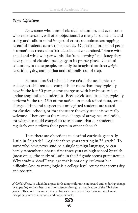#### *Some Objections*

Now some who hear of classical education, and even some who experience it, will offer objections. To many it sounds old and stuffy, and calls to mind images of crusty schoolmasters rapping resentful students across the knuckles. Our talk of order and peace is sometimes received as "strict, cold and constrained." Some with a nod and wink whisper words like "rote learning" and fancy they have put all of classical pedagogy in its proper place. Classical education, to these people, can only be imagined as dreary, rigid, repetitious, dry, antiquarian and culturally out of step.

Because classical schools have raised the academic bar and expect children to accomplish far more than they typically have in the last 50 years, some charge us with harshness and an undue emphasis on academics. Because classical students typically perform in the top 15% of the nation on standardized tests, some charge elitism and suspect that only gifted students are suited for classical schools, or that these are the only students we really welcome. Then comes the related charge of arrogance and pride, for what else could compel us to announce that our students regularly out-perform their peers in other schools?

Then there are objections to classical curricula generally. Latin in  $3<sup>rd</sup>$  grade? Logic for three years starting in  $7<sup>th</sup>$  grade? To some who have never studied a single foreign language, or can barely remember a phrase after three years of high school Spanish (most of us), the study of Latin in the 3rd grade seems preposterous. Why study a "dead" language that is not only irrelevant but difficult? And to many, logic is a college level course that seems dry and obscure.

*A Child's Heart*, in which he argues for leading children to an inward and enduring change by appealing to their hearts and consciences through an application of the Christian gospel. This book has guided many classical educators as they form and implement discipline practices in schools and home-schools.

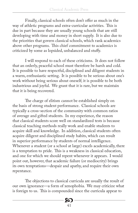Finally, classical schools often don't offer as much in the way of athletic programs and extra-curricular activities. This is due in part because they are usually young schools that are still developing with time and money in short supply. It is also due to the priorities that govern classical schools, which rank academics above other programs. This chief commitment to academics is criticized by some as lopsided, unbalanced and stuffy.

I will respond to each of these criticisms. It does not follow that an orderly, peaceful school must therefore be harsh and cold. It is possible to have respectful, disciplined and diligent students in a warm, enthusiastic setting. It is possible to be serious about one's work without being serious about oneself; it is possible to be both industrious and joyful. We grant that it is rare, but we maintain that it is being recovered.

The charge of elitism cannot be established simply on the basis of strong student performance. Classical schools are typically a cross-section of the community with common ratios of average and gifted students. In my experience, the reason that classical students score well on standardized tests is because classical teaching methods really work and enable students to acquire skill and knowledge. In addition, classical students often acquire diligent and disciplined study habits, which can result in superior performance by students of normal intelligence. Whenever a student (or a school at large) excels academically, there is a temptation to pride. This is a weakness in classical education, and one for which we should repent whenever it appears. I would point out, however, that academic failure (or mediocrity) brings its own temptations—despair and apathy, and require their own repentance.

The objections to classical curricula are usually the result of our own ignorance—a form of xenophobia. We may criticize what is foreign to us. This is compounded since the curricula appear to

> 8Q 41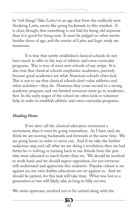be "old things" (like Latin) in an age that loves the endlessly new. Studying Latin, seems like going backwards to this mindset. It is clear, though, that something is not bad for being old anymore than it is good for being new. It must be judged on other merits besides those of age, and the merits of Latin and logic study are numerous.

It is true that newly established classical schools do not have much to offer in the way of athletic and extra-curricular programs. This is true of most new schools of any stripe. It is also true that classical schools emphasize academics, precisely because good academics are what American schools often lack. This is not to say that classical schools don't value athletics and other activities—they do. However, they come second to a strong academic program, and our limited resources must go to academics first. In the early stages of the school we often look to volunteer help in order to establish athletic and extra-curricular programs.

#### *Heading Home*

If we dare call the classical education movement a movement, then it must be going somewhere. As I have said, we think we are moving backwards and forwards at the same time. We are going home in order to move out. And if we take the further audacious step and call what we are doing a revolution, then we had better be *re*-volving or turning back to our friends from the past who were educated so much better than we. We should be resolved to work hard; and we should expect opposition, for not everyone will understand and appreciate this endeavor. Popular culture is set against us; our own shabby educations are set against us. And we should be patient, for this task will take time. What was lost in a generation or two will likely take as long to fully recover.

We swim upstream, resolved not to be carried along with the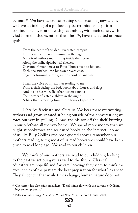current.<sup>23</sup> We have tasted something old, becoming new again; we have an inkling of a profoundly better mind and spirit, a continuing conversation with great minds, with each other, with God himself. Books, rather than the TV, have enchanted us once again:

From the heart of this dark, evacuated campus I can hear the library humming in the night, A choir of authors murmuring inside their books Along the unlit, alphabetical shelves, Giovanni Pontano next to Pope, Dumas next to his son, Each one stitched into his own private coat, Together forming a low, gigantic chord of language.

I hear the voice of my mother reading to me From a chair facing the bed, books about horses and dogs, And inside her voice lie other distant sounds, The horrors of a stable ablaze in the night, A bark that is moving toward the brink of speech.<sup>24</sup>

Libraries fascinate and allure us. We hear these murmuring authors and grow irritated at being outside of the conversation; we force our way in, pulling Dumas and his son off the shelf, buzzing in our briefcase all the way home. We spend more money than we ought at bookstores and seek used books on the internet. Some of us like Billy Collins (the poet quoted above), remember our mothers reading to us; most of us read books we should have been given to read long ago. We read to our children.

We think of our mothers, we read to our children; looking to the past we set our gaze as well to the future. Classical educators are hopeful and forward-looking; they seem to think the excellencies of the past are the best preparation for what lies ahead. They all concur that while times change, human nature does not,

<sup>23</sup> Chesterton has also said somewhere, "Dead things flow with the current; only living things swim upstream."

24 Billy Collins, *Sailing Around the Room* (New York, Random House: 2001)

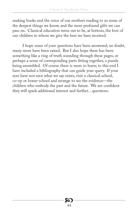making books and the voice of our mothers reading to us some of the deepest things we know, and the most profound gifts we can pass on. Classical education turns out to be, at bottom, the love of our children to whom we give the best we have received.

I hope some of your questions have been answered; no doubt, many more have been raised. But I also hope there has been something like a ring of truth sounding through these pages, or perhaps a sense of corresponding parts fitting together, a puzzle being assembled. Of course there is more to learn; to this end I have included a bibliography that can guide your query. If your eyes have not seen what we say exists, visit a classical school, co-op or home-school and arrange to see the evidence—the children who embody the past and the future. We are confident they will spark additional interest and further…questions.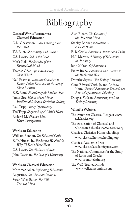### Bibliography

#### **General Works Pertinent to Classical Education**

G.K. Chesterton, *What's Wrong with the World* T.S. Eliot, *Christianity and Culture* C.S. Lewis, *God in the Dock* Mark Noll, *The Scandal of the Evangelical Mind* Thomas Oden, *After Modernity, Then What?* Neil Postman, *Amusing Ourselves to Death: Public Discourse in the Age of Show Business* E.K. Rand, *Founders of the Middle Ages* James Sire, *Habits of the Mind: Intellectual Life as a Christian Calling* Paul Tripp, *Age of Opportunity* Ted Tripp, *Shepherding A Child's Heart* Richard M. Weaver, *Ideas* 

*Have Consequences*

#### **Works on Education**

William Bennett, *The Educated Child* E. D. Hirsch, Jr., *The Schools We Need & Why We Don't Have Them* C.S. Lewis, *The Abolition of Man* John Newman, *The Idea of a University*

#### **Works on Classical Education**

Mortimer Adler, *Reforming Education* Augustine, *On Christian Doctrine* Susan Wise Bauer, *The Well-Trained Mind*

Alan Bloom, *The Closing of the American Mind* Stanley Bonner, *Education in Ancient Rome* E. B. Castle, *Education Ancient and Today* H. I. Marrou, *A History of Education in Antiquity* John Milton, *Of Education* Pierre Riche, *Education and Culture in the Barbarian West* Dorothy Sayers, *"The Tools of Learning"* Gene Edward Veith, Jr. and Andrew Kern, *Classical Education: Towards the Revival of American Schooling* Douglas Wilson, *Recovering the Lost Tools of Learning* **Valuable Websites** The American Classical League: www. aclclassics.org The Association of Classical and Christian Schools: www.accsedu.org Classical Christian Homeschooling: www.classicalhomeschooling.org Classical Academic Press: www.classicalacademicpress.com The National Committee for the Study of Latin and Greek: www.promotelatin.org

The Well-Trained Mind: www.welltrainedmind.com

45 Х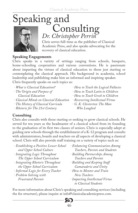# Speaking and<br>Consulting



Chris serves full-time as the publisher of Classical Academic Press, and also speaks advocating for the recovery of classical education. *Dr. Christopher Perrin*

#### **Speaking Engagements**

Chris speaks in a variety of settings ranging from schools, banquets, home-schooling cooperatives and various conventions. He is passionate about imparting the virtues of classical education to those just starting or contemplating the classical approach. His background in academia, school leadership and publishing make him an informed and inspiring speaker. Chris frequently speaks on such topics as:

| · What is Classical Education?           | · How to Teach the Logical Fallacies |
|------------------------------------------|--------------------------------------|
| · The Origin and Purpose of              | · How to Teach Latin to Children     |
| Classical Education                      | · How to Teach Greek to Children     |
| · Classical Minds on Classical Education | · Recovering Intellectual Virtue     |
| · The History of Classical Curricula     | · G. K. Chesterton: The Man          |
| · Rhetoric for The 21st Century          | Who Laughed                          |

#### **Consulting**

Chris also consults with those starting or seeking to grow classical schools. He served for ten years as the headmaster of a classical school from its founding to the graduation of its first two classes of seniors. Chris is especially adept at guiding new schools through the establishment of a K-12 program and consults with administrators, boards and teachers on all aspects of developing a classical school. Chris will also provide staff training on a variety of topics such as:

| · Establishing a Positive Lower School | · Enhancing Communication Among |
|----------------------------------------|---------------------------------|
| and Upper School Culture               | Teachers, Parents and Students  |
| · Integrating Logic Throughout         | · Building Partnerships Among   |
| The Upper School Curriculum            | Teachers and Parents            |
| · Integrating Rhetoric Throughout      | · Building and Keeping Staff    |
| the Upper School Curriculum            | Camaraderie and Unity           |
| · Informal Logic for Every Teacher     | · How to Mentor and Train       |
| · Problem Solving with                 | New Teachers                    |
| <b>Frustrated Parents</b>              | · Imparting Intellectual Virtue |
|                                        | to Classical Students           |

For more information about Chris's speaking and consulting services (including the fee structure), please inquire at info@classicalacademicpress.com.

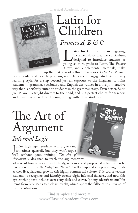Classical Academic Press

### Latin for Children

#### *Primers A, B & C*

**Latin for Children** is an engaging, incremental, & creative curriculum, designed to introduce students as young as third grade to Latin. The *Primer* incremental, & creative curriculum, designed to introduce students as *A* text, and supplemental materials, make

up the first year of a three year series. *Latin for Children* is a modular and flexible program, with elements to engage students of every learning style. As a step beyond just an exposure to the language, it trains students in grammar, vocabulary and English derivatives in a lively, interactive way that is perfectly suited to students in the grammar stage. Even better, *Latin for Children* is taught directly to the child, and is a perfect choice for teachers and parent who will be learning along with their students.

### The Art of Argument *Informal Logic*

unior high aged students will argue (and<br>sometimes quarrel), but they won't argue<br>well without good training. The Art of Tunior high aged students will argue (and sometimes quarrel), but they won't argue *Argument* is designed to teach the argumentative

adolescent how to reason with clarity, relevance and purpose at a time when he has a penchant for the "why" and "how." It will equip and sharpen young minds as they live, play, and grow in this highly commercial culture. This course teaches students to recognize and identify twenty-eight informal fallacies, and now this eye-catching text includes over sixty slick and clever, "phony advertisements" for items from blue jeans to pick-up trucks, which apply the fallacies to a myriad of real life situations.

> www.ClassicalAcademicPress.com Find samples and more at